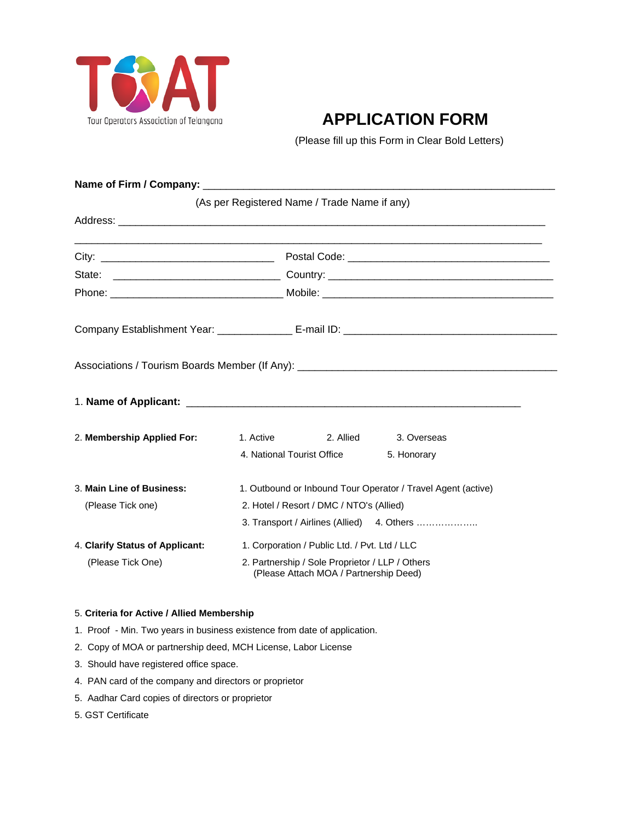

## **APPLICATION FORM**

(Please fill up this Form in Clear Bold Letters)

|                                 |                                                                                                                | (As per Registered Name / Trade Name if any)                                              |                                            |  |  |  |  |
|---------------------------------|----------------------------------------------------------------------------------------------------------------|-------------------------------------------------------------------------------------------|--------------------------------------------|--|--|--|--|
|                                 |                                                                                                                |                                                                                           |                                            |  |  |  |  |
|                                 |                                                                                                                |                                                                                           |                                            |  |  |  |  |
|                                 |                                                                                                                |                                                                                           |                                            |  |  |  |  |
|                                 |                                                                                                                |                                                                                           |                                            |  |  |  |  |
|                                 |                                                                                                                |                                                                                           |                                            |  |  |  |  |
|                                 |                                                                                                                |                                                                                           |                                            |  |  |  |  |
|                                 |                                                                                                                |                                                                                           |                                            |  |  |  |  |
| 2. Membership Applied For:      | 1. Active the state of the state of the state of the state of the state of the state of the state of the state | 2. Allied                                                                                 | 3. Overseas                                |  |  |  |  |
|                                 |                                                                                                                | 4. National Tourist Office                                                                | 5. Honorary                                |  |  |  |  |
| 3. Main Line of Business:       | 1. Outbound or Inbound Tour Operator / Travel Agent (active)                                                   |                                                                                           |                                            |  |  |  |  |
| (Please Tick one)               | 2. Hotel / Resort / DMC / NTO's (Allied)                                                                       |                                                                                           |                                            |  |  |  |  |
|                                 |                                                                                                                |                                                                                           | 3. Transport / Airlines (Allied) 4. Others |  |  |  |  |
| 4. Clarify Status of Applicant: | 1. Corporation / Public Ltd. / Pvt. Ltd / LLC                                                                  |                                                                                           |                                            |  |  |  |  |
| (Please Tick One)               |                                                                                                                | 2. Partnership / Sole Proprietor / LLP / Others<br>(Please Attach MOA / Partnership Deed) |                                            |  |  |  |  |

## 5. **Criteria for Active / Allied Membership**

- 1. Proof Min. Two years in business existence from date of application.
- 2. Copy of MOA or partnership deed, MCH License, Labor License
- 3. Should have registered office space.
- 4. PAN card of the company and directors or proprietor
- 5. Aadhar Card copies of directors or proprietor
- 5. GST Certificate